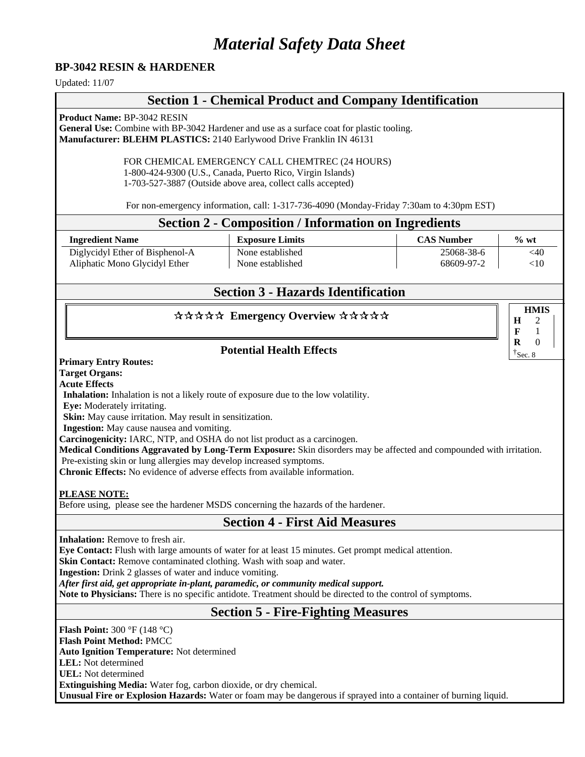# *Material Safety Data Sheet*

#### **BP-3042 RESIN & HARDENER**

Updated: 11/07

# **Section 1 - Chemical Product and Company Identification**

**Product Name:** BP-3042 RESIN

**General Use:** Combine with BP-3042 Hardener and use as a surface coat for plastic tooling. **Manufacturer: BLEHM PLASTICS:** 2140 Earlywood Drive Franklin IN 46131

> FOR CHEMICAL EMERGENCY CALL CHEMTREC (24 HOURS) 1-800-424-9300 (U.S., Canada, Puerto Rico, Virgin Islands) 1-703-527-3887 (Outside above area, collect calls accepted)

For non-emergency information, call: 1-317-736-4090 (Monday-Friday 7:30am to 4:30pm EST)

#### **Section 2 - Composition / Information on Ingredients**

| <b>Ingredient Name</b>          | <b>Exposure Limits</b> | <b>CAS Number</b> | $\%$ wt |
|---------------------------------|------------------------|-------------------|---------|
| Diglycidyl Ether of Bisphenol-A | None established       | 25068-38-6        | <40     |
| Aliphatic Mono Glycidyl Ether   | None established       | 68609-97-2        | ${<}10$ |

# **Section 3 - Hazards Identification**

**HMIS**

**H F R** 

### \*\*\*\*\* Emergency Overview \*\*\*\*\*

### **Potential Health Effects**

**Primary Entry Routes:**

**Target Organs:**

**Acute Effects**

**Inhalation:** Inhalation is not a likely route of exposure due to the low volatility.

**Eye:** Moderately irritating.

**Skin:** May cause irritation. May result in sensitization.

**Ingestion:** May cause nausea and vomiting.

**Carcinogenicity:** IARC, NTP, and OSHA do not list product as a carcinogen.

**Medical Conditions Aggravated by Long-Term Exposure:** Skin disorders may be affected and compounded with irritation.

Pre**-**existing skin or lung allergies may develop increased symptoms.

**Chronic Effects:** No evidence of adverse effects from available information.

#### **PLEASE NOTE:**

Before using, please see the hardener MSDS concerning the hazards of the hardener.

## **Section 4 - First Aid Measures**

**Inhalation:** Remove to fresh air.

**Eye Contact:** Flush with large amounts of water for at least 15 minutes. Get prompt medical attention.

**Skin Contact:** Remove contaminated clothing. Wash with soap and water.

**Ingestion:** Drink 2 glasses of water and induce vomiting.

*After first aid, get appropriate in-plant, paramedic, or community medical support.* 

**Note to Physicians:** There is no specific antidote. Treatment should be directed to the control of symptoms.

# **Section 5 - Fire-Fighting Measures**

**Flash Point:** 300 °F (148 °C)

**Flash Point Method:** PMCC

**Auto Ignition Temperature:** Not determined

**LEL:** Not determined **UEL:** Not determined

**Extinguishing Media:** Water fog, carbon dioxide, or dry chemical.

**Unusual Fire or Explosion Hazards:** Water or foam may be dangerous if sprayed into a container of burning liquid.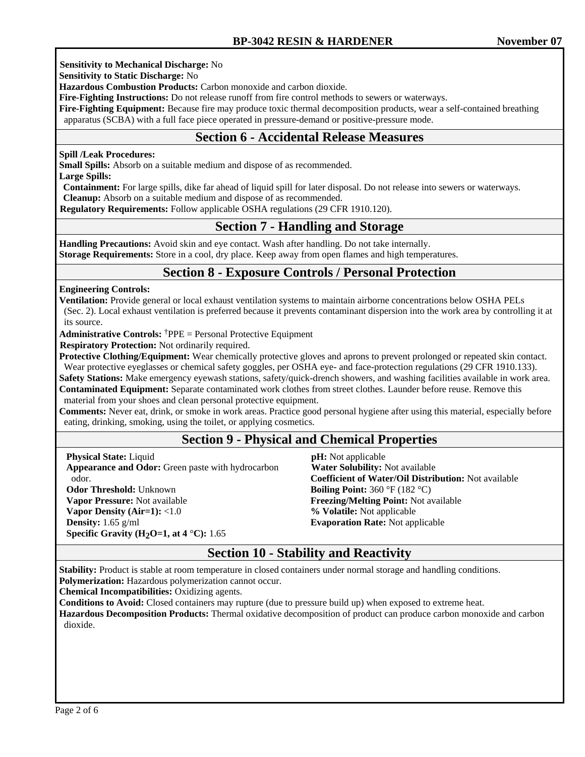**Sensitivity to Mechanical Discharge:** No

**Sensitivity to Static Discharge:** No

**Hazardous Combustion Products:** Carbon monoxide and carbon dioxide.

**Fire-Fighting Instructions:** Do not release runoff from fire control methods to sewers or waterways.

**Fire-Fighting Equipment:** Because fire may produce toxic thermal decomposition products, wear a self-contained breathing apparatus (SCBA) with a full face piece operated in pressure-demand or positive-pressure mode.

## **Section 6 - Accidental Release Measures**

#### **Spill /Leak Procedures:**

**Small Spills:** Absorb on a suitable medium and dispose of as recommended.

**Large Spills:** 

**Containment:** For large spills, dike far ahead of liquid spill for later disposal. Do not release into sewers or waterways.

**Cleanup:** Absorb on a suitable medium and dispose of as recommended.

 **Regulatory Requirements:** Follow applicable OSHA regulations (29 CFR 1910.120).

# **Section 7 - Handling and Storage**

**Handling Precautions:** Avoid skin and eye contact. Wash after handling. Do not take internally.

**Storage Requirements:** Store in a cool, dry place. Keep away from open flames and high temperatures.

# **Section 8 - Exposure Controls / Personal Protection**

#### **Engineering Controls:**

**Ventilation:** Provide general or local exhaust ventilation systems to maintain airborne concentrations below OSHA PELs (Sec. 2). Local exhaust ventilation is preferred because it prevents contaminant dispersion into the work area by controlling it at its source.

**Administrative Controls:** †PPE = Personal Protective Equipment

**Respiratory Protection:** Not ordinarily required.

**Protective Clothing/Equipment:** Wear chemically protective gloves and aprons to prevent prolonged or repeated skin contact. Wear protective eyeglasses or chemical safety goggles, per OSHA eye- and face-protection regulations (29 CFR 1910.133).

**Safety Stations:** Make emergency eyewash stations, safety/quick-drench showers, and washing facilities available in work area. **Contaminated Equipment:** Separate contaminated work clothes from street clothes. Launder before reuse. Remove this

material from your shoes and clean personal protective equipment.

**Comments:** Never eat, drink, or smoke in work areas. Practice good personal hygiene after using this material, especially before eating, drinking, smoking, using the toilet, or applying cosmetics.

## **Section 9 - Physical and Chemical Properties**

**Physical State:** Liquid **Appearance and Odor:** Green paste with hydrocarbon odor. **Odor Threshold:** Unknown **Vapor Pressure:** Not available **Vapor Density (Air=1):** <1.0 **Density:** 1.65 g/ml **Specific Gravity (H2O=1, at 4** °**C):** 1.65

 **pH:** Not applicable  **Water Solubility:** Not available **Coefficient of Water/Oil Distribution:** Not available **Boiling Point:** 360 °F (182 °C) **Freezing/Melting Point:** Not available **% Volatile:** Not applicable **Evaporation Rate:** Not applicable

# **Section 10 - Stability and Reactivity**

**Stability:** Product is stable at room temperature in closed containers under normal storage and handling conditions.

**Polymerization:** Hazardous polymerization cannot occur.

**Chemical Incompatibilities:** Oxidizing agents.

**Conditions to Avoid:** Closed containers may rupture (due to pressure build up) when exposed to extreme heat.

**Hazardous Decomposition Products:** Thermal oxidative decomposition of product can produce carbon monoxide and carbon dioxide.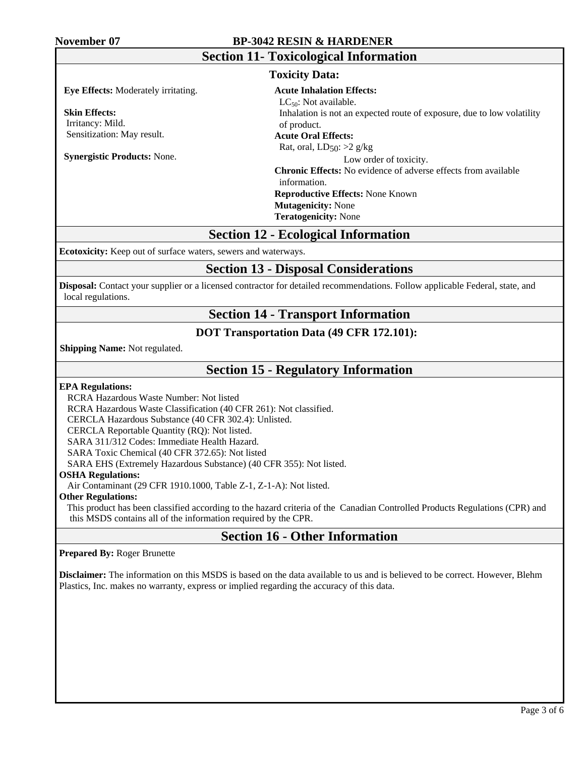### **November 07 BP-3042 RESIN & HARDENER**

| <b>Section 11- Toxicological Information</b> |                                                                        |  |  |  |
|----------------------------------------------|------------------------------------------------------------------------|--|--|--|
| <b>Toxicity Data:</b>                        |                                                                        |  |  |  |
| <b>Eye Effects:</b> Moderately irritating.   | <b>Acute Inhalation Effects:</b>                                       |  |  |  |
|                                              | $LC_{50}$ : Not available.                                             |  |  |  |
| <b>Skin Effects:</b>                         | Inhalation is not an expected route of exposure, due to low volatility |  |  |  |
| Irritancy: Mild.                             | of product.                                                            |  |  |  |
| Sensitization: May result.                   | <b>Acute Oral Effects:</b>                                             |  |  |  |
|                                              | Rat, oral, $LD_{50}$ : >2 g/kg                                         |  |  |  |
| <b>Synergistic Products: None.</b>           | Low order of toxicity.                                                 |  |  |  |
|                                              | <b>Chronic Effects:</b> No evidence of adverse effects from available  |  |  |  |
|                                              | information.                                                           |  |  |  |
|                                              | <b>Reproductive Effects: None Known</b>                                |  |  |  |
|                                              | <b>Mutagenicity: None</b>                                              |  |  |  |
|                                              | <b>Teratogenicity: None</b>                                            |  |  |  |

## **Section 12 - Ecological Information**

**Ecotoxicity:** Keep out of surface waters, sewers and waterways.

## **Section 13 - Disposal Considerations**

**Disposal:** Contact your supplier or a licensed contractor for detailed recommendations. Follow applicable Federal, state, and local regulations.

# **Section 14 - Transport Information**

### **DOT Transportation Data (49 CFR 172.101):**

 **Shipping Name:** Not regulated.

# **Section 15 - Regulatory Information**

#### **EPA Regulations:**

RCRA Hazardous Waste Number: Not listed

RCRA Hazardous Waste Classification (40 CFR 261): Not classified.

CERCLA Hazardous Substance (40 CFR 302.4): Unlisted.

CERCLA Reportable Quantity (RQ): Not listed.

SARA 311/312 Codes: Immediate Health Hazard.

SARA Toxic Chemical (40 CFR 372.65): Not listed

SARA EHS (Extremely Hazardous Substance) (40 CFR 355): Not listed.

#### **OSHA Regulations:**

Air Contaminant (29 CFR 1910.1000, Table Z-1, Z-1-A): Not listed.

#### **Other Regulations:**

This product has been classified according to the hazard criteria of the Canadian Controlled Products Regulations (CPR) and this MSDS contains all of the information required by the CPR.

# **Section 16 - Other Information**

**Prepared By:** Roger Brunette

**Disclaimer:** The information on this MSDS is based on the data available to us and is believed to be correct. However, Blehm Plastics, Inc. makes no warranty, express or implied regarding the accuracy of this data.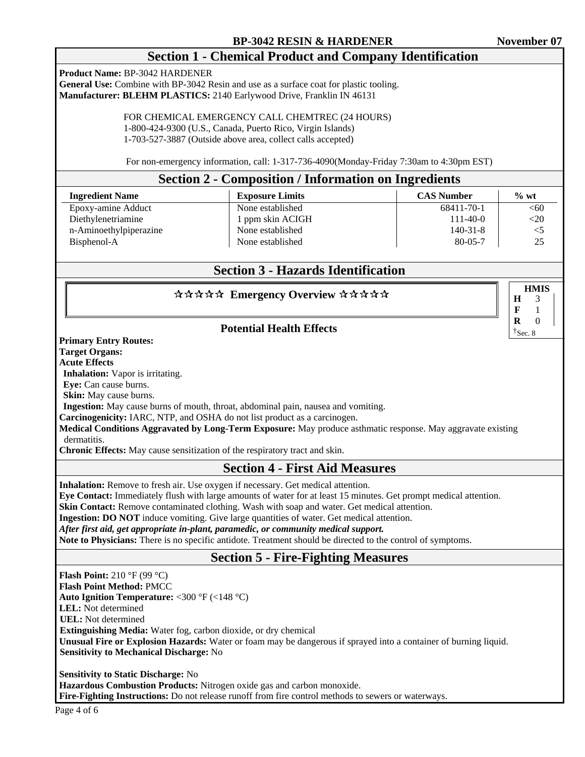**HMIS**

**H F R** 

# **Section 1 - Chemical Product and Company Identification**

**Product Name:** BP-3042 HARDENER

**General Use:** Combine with BP-3042 Resin and use as a surface coat for plastic tooling. **Manufacturer: BLEHM PLASTICS:** 2140 Earlywood Drive, Franklin IN 46131

> FOR CHEMICAL EMERGENCY CALL CHEMTREC (24 HOURS) 1-800-424-9300 (U.S., Canada, Puerto Rico, Virgin Islands) 1-703-527-3887 (Outside above area, collect calls accepted)

For non-emergency information, call: 1-317-736-4090(Monday-Friday 7:30am to 4:30pm EST)

### **Section 2 - Composition / Information on Ingredients**

| <b>Ingredient Name</b> | <b>Exposure Limits</b> | <b>CAS Number</b> | $\%$ wt |
|------------------------|------------------------|-------------------|---------|
| Epoxy-amine Adduct     | None established       | 68411-70-1        | < 60    |
| Diethylenetriamine     | 1 ppm skin ACIGH       | 111-40-0          | $<$ 20  |
| n-Aminoethylpiperazine | None established       | $140 - 31 - 8$    | $<$ 5   |
| Bisphenol-A            | None established       | $80 - 05 - 7$     | 25      |

# **Section 3 - Hazards Identification**

### \*\*\*\*\* Emergency Overview \*\*\*\*\*

## **Potential Health Effects**

**Primary Entry Routes:**

**Target Organs:**

**Acute Effects**

**Inhalation:** Vapor is irritating.

**Eye:** Can cause burns.

**Skin:** May cause burns.

**Ingestion:** May cause burns of mouth, throat, abdominal pain, nausea and vomiting.

**Carcinogenicity:** IARC, NTP, and OSHA do not list product as a carcinogen.

**Medical Conditions Aggravated by Long-Term Exposure:** May produce asthmatic response. May aggravate existing dermatitis.

**Chronic Effects:** May cause sensitization of the respiratory tract and skin.

## **Section 4 - First Aid Measures**

**Inhalation:** Remove to fresh air. Use oxygen if necessary. Get medical attention.

**Eye Contact:** Immediately flush with large amounts of water for at least 15 minutes. Get prompt medical attention.

**Skin Contact:** Remove contaminated clothing. Wash with soap and water. Get medical attention.

**Ingestion: DO NOT** induce vomiting. Give large quantities of water. Get medical attention.

*After first aid, get appropriate in-plant, paramedic, or community medical support.* 

**Note to Physicians:** There is no specific antidote. Treatment should be directed to the control of symptoms.

## **Section 5 - Fire-Fighting Measures**

**Flash Point:** 210 °F (99 °C) **Flash Point Method:** PMCC **Auto Ignition Temperature:** <300 °F (<148 °C) **LEL:** Not determined  **UEL:** Not determined  **Extinguishing Media:** Water fog, carbon dioxide, or dry chemical **Unusual Fire or Explosion Hazards:** Water or foam may be dangerous if sprayed into a container of burning liquid.  **Sensitivity to Mechanical Discharge:** No

**Sensitivity to Static Discharge:** No **Hazardous Combustion Products:** Nitrogen oxide gas and carbon monoxide. **Fire-Fighting Instructions:** Do not release runoff from fire control methods to sewers or waterways.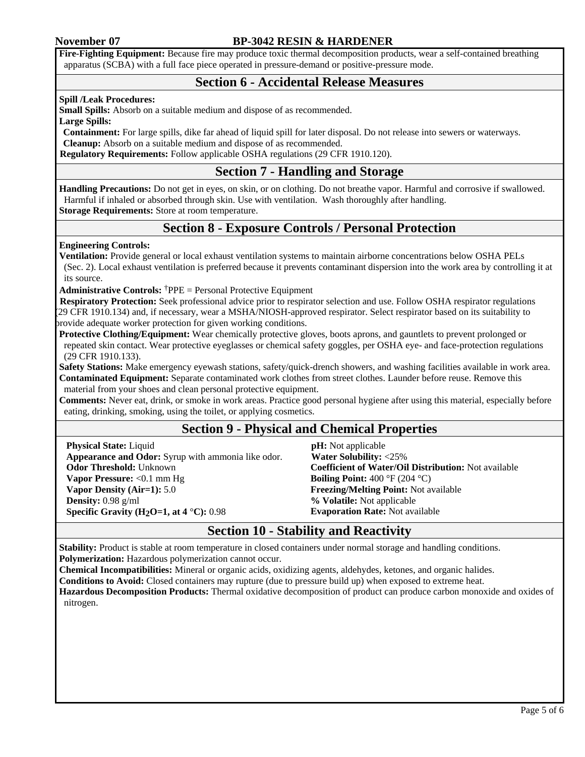### **November 07 BP-3042 RESIN & HARDENER**

**Fire-Fighting Equipment:** Because fire may produce toxic thermal decomposition products, wear a self-contained breathing apparatus (SCBA) with a full face piece operated in pressure-demand or positive-pressure mode.

## **Section 6 - Accidental Release Measures**

#### **Spill /Leak Procedures:**

**Small Spills:** Absorb on a suitable medium and dispose of as recommended.

**Large Spills:** 

**Containment:** For large spills, dike far ahead of liquid spill for later disposal. Do not release into sewers or waterways. **Cleanup:** Absorb on a suitable medium and dispose of as recommended.

 **Regulatory Requirements:** Follow applicable OSHA regulations (29 CFR 1910.120).

# **Section 7 - Handling and Storage**

**Handling Precautions:** Do not get in eyes, on skin, or on clothing. Do not breathe vapor. Harmful and corrosive if swallowed. Harmful if inhaled or absorbed through skin. Use with ventilation. Wash thoroughly after handling. **Storage Requirements:** Store at room temperature.

# **Section 8 - Exposure Controls / Personal Protection**

#### **Engineering Controls:**

**Ventilation:** Provide general or local exhaust ventilation systems to maintain airborne concentrations below OSHA PELs (Sec. 2). Local exhaust ventilation is preferred because it prevents contaminant dispersion into the work area by controlling it at its source.

**Administrative Controls:** †PPE = Personal Protective Equipment

 **Respiratory Protection:** Seek professional advice prior to respirator selection and use. Follow OSHA respirator regulations (29 CFR 1910.134) and, if necessary, wear a MSHA/NIOSH-approved respirator. Select respirator based on its suitability to provide adequate worker protection for given working conditions.

**Protective Clothing/Equipment:** Wear chemically protective gloves, boots aprons, and gauntlets to prevent prolonged or repeated skin contact. Wear protective eyeglasses or chemical safety goggles, per OSHA eye- and face-protection regulations (29 CFR 1910.133).

**Safety Stations:** Make emergency eyewash stations, safety/quick-drench showers, and washing facilities available in work area. **Contaminated Equipment:** Separate contaminated work clothes from street clothes. Launder before reuse. Remove this material from your shoes and clean personal protective equipment.

**Comments:** Never eat, drink, or smoke in work areas. Practice good personal hygiene after using this material, especially before eating, drinking, smoking, using the toilet, or applying cosmetics.

## **Section 9 - Physical and Chemical Properties**

**Physical State:** Liquid **Appearance and Odor:** Syrup with ammonia like odor. **Odor Threshold:** Unknown **Vapor Pressure:** <0.1 mm Hg **Vapor Density (Air=1):** 5.0 **Density:** 0.98 g/ml **Specific Gravity (H<sub>2</sub>O=1, at 4 <sup>°</sup>C): 0.98** 

 **pH:** Not applicable  **Water Solubility:** <25% **Coefficient of Water/Oil Distribution:** Not available **Boiling Point:** 400 °F (204 °C) **Freezing/Melting Point:** Not available **% Volatile:** Not applicable **Evaporation Rate:** Not available

# **Section 10 - Stability and Reactivity**

**Stability:** Product is stable at room temperature in closed containers under normal storage and handling conditions. **Polymerization:** Hazardous polymerization cannot occur.

**Chemical Incompatibilities:** Mineral or organic acids, oxidizing agents, aldehydes, ketones, and organic halides.

**Conditions to Avoid:** Closed containers may rupture (due to pressure build up) when exposed to extreme heat.

**Hazardous Decomposition Products:** Thermal oxidative decomposition of product can produce carbon monoxide and oxides of nitrogen.